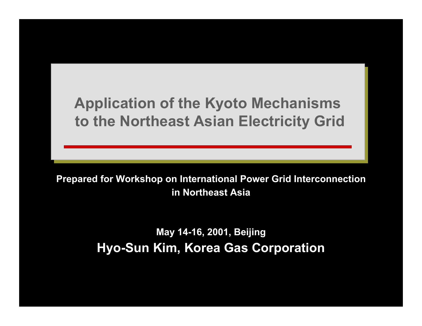# **Application of the Kyoto Mechanisms Application of the Kyoto Mechanisms to the Northeast Asian Electricity Grid to the Northeast Asian Electricity Grid**

**Prepared for Workshop on International Power Grid Interconnection in Northeast Asia**

> **May 14-16, 2001, Beijing Hyo-Sun Kim, Korea Gas Corporation**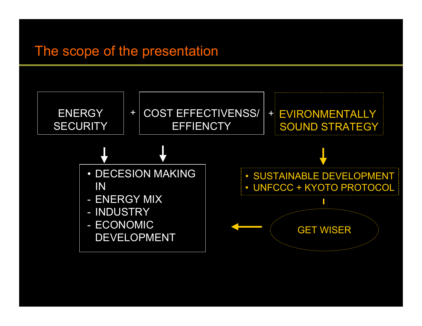#### The scope of the presentation

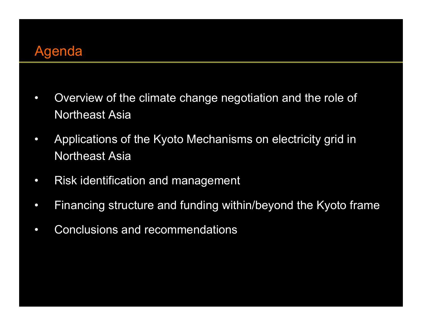

- $\bullet$  Overview of the climate change negotiation and the role of Northeast Asia
- • Applications of the Kyoto Mechanisms on electricity grid in Northeast Asia
- $\bullet$ Risk identification and management
- $\bullet$ Financing structure and funding within/beyond the Kyoto frame
- $\bullet$ Conclusions and recommendations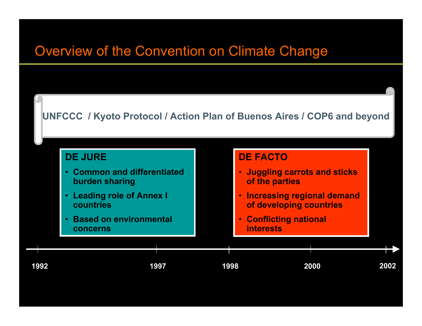#### Overview of the Convention on Climate Change

#### **UNFCCC / Kyoto Protocol / Action Plan of Buenos Aires / COP6 and beyond**

#### **DE JURE**

- **Common and differentiated burden sharing**
- **Leading role of Annex I countries**
- **Based on environmental concerns**

#### **DE FACTO**

- **Juggling carrot s and sticks of the parties**
- **Increasing regional demand of developing countries**
- **Conflicting national interests**



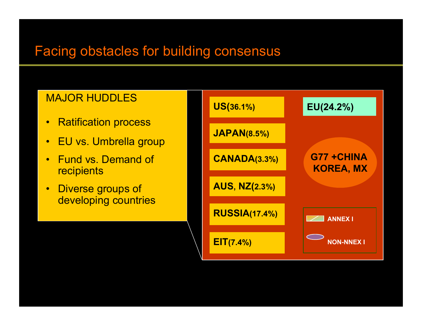## Facing obstacles for building consensus

#### MAJOR HUDDLES

- •Ratification process
- •EU vs. Umbrella group
- •Fund vs. Demand of **recipients**
- •Diverse groups of developing countries

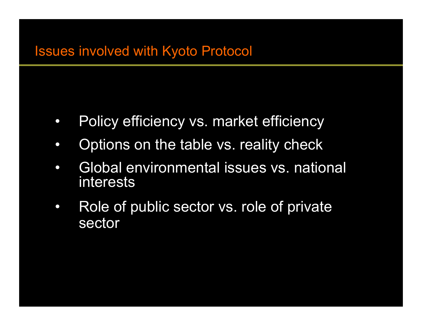- $\bullet$ Policy efficiency vs. market efficiency
- $\bullet$ Options on the table vs. reality check
- $\bullet$ Global environmental issues vs. national interests
- $\bullet$ Role of public sector vs. role of private sector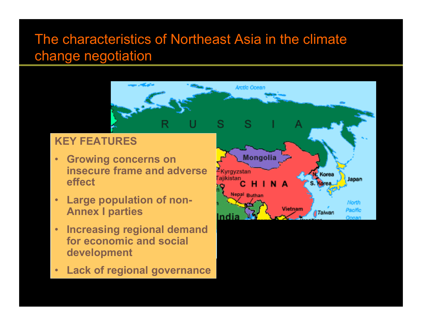### The characteristics of Northeast Asia in the climate change negotiation

#### **KEY FEATURES**

- • **Growing concerns on insecure frame and adverse effect**
- • **Large population of non-Annex I parties**
- • **Increasing regional demand for economic and social development**
- •**Lack of regional governance**



**Arctic Ocean**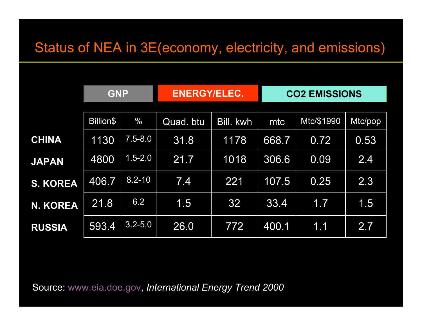|                 | <b>GNP</b> |               | <b>ENERGY/ELEC.</b> |                  | <b>CO2 EMISSIONS</b> |            |         |
|-----------------|------------|---------------|---------------------|------------------|----------------------|------------|---------|
|                 | Billion\$  | $\frac{0}{0}$ | Quad. btu           | <b>Bill. kwh</b> | mtc                  | Mtc/\$1990 | Mtc/pop |
| <b>CHINA</b>    | 1130       | $7.5 - 8.0$   | 31.8                | 1178             | 668.7                | 0.72       | 0.53    |
| <b>JAPAN</b>    | 4800       | $1.5 - 2.0$   | 21.7                | 1018             | 306.6                | 0.09       | 2.4     |
| <b>S. KOREA</b> | 406.7      | $8.2 - 10$    | 7.4                 | 221              | 107.5                | 0.25       | 2.3     |
| <b>N. KOREA</b> | 21.8       | 6.2           | 1.5                 | 32               | 33.4                 | 1.7        | 1.5     |
| <b>RUSSIA</b>   | 593.4      | $3.2 - 5.0$   | 26.0                | 772              | 400.1                | 1.1        | 2.7     |

Source: [www.eia.doe.gov](http://www.eia.doe.gov/), *International Energy Trend 2000*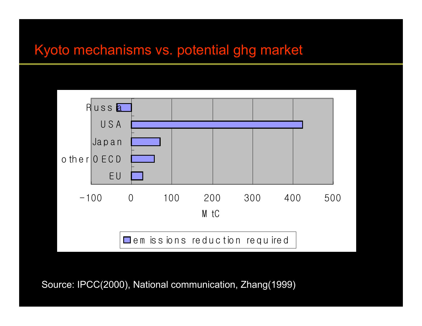#### Kyoto mechanisms vs. potential ghg market



Source: IPCC(2000), National communication, Zhang(1999)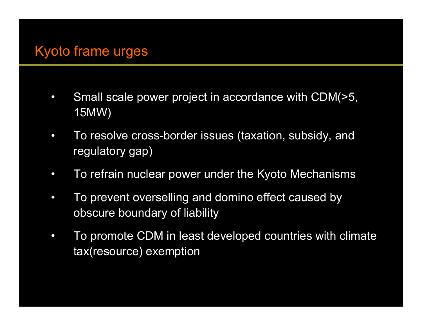## Kyoto frame urges

- $\bullet$  Small scale power project in accordance with CDM(>5, 15MW)
- $\bullet$  To resolve cross-border issues (taxation, subsidy, and regulatory gap)
- $\bullet$ To refrain nuclear power under the Kyoto Mechanisms
- $\bullet$  To prevent overselling and domino effect caused by obscure boundary of liability
- $\bullet$  To promote CDM in least developed countries with climate tax(resource) exemption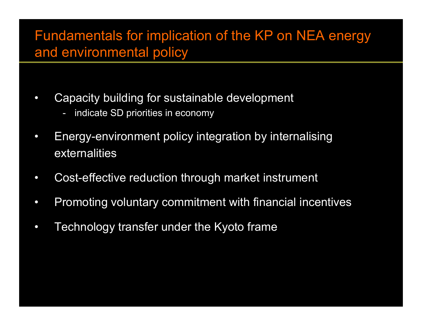#### Fundamentals for implication of the KP on NEA energy and environmental policy

- •Capacity building for sustainable development
	- indicate SD priorities in economy
- •Energy-environment policy integration by internalising externalities
- $\bullet$ Cost-effective reduction through market instrument
- $\bullet$ Promoting voluntary commitment with financial incentives
- •Technology transfer under the Kyoto frame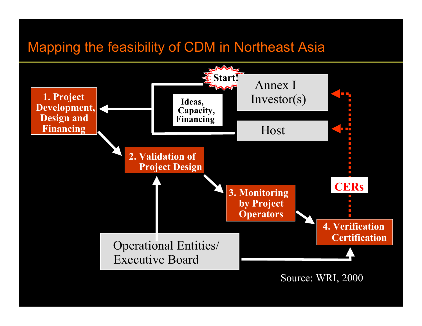#### Mapping the feasibility of CDM in Northeast Asia



Source: WRI, 2000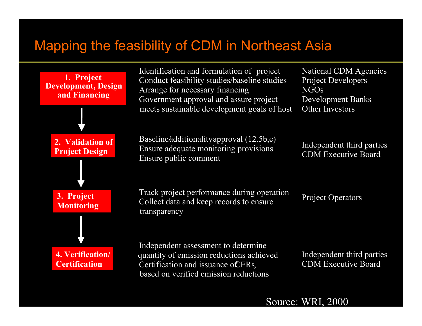## Mapping the feasibility of CDM in Northeast Asia



Source: WRI, 2000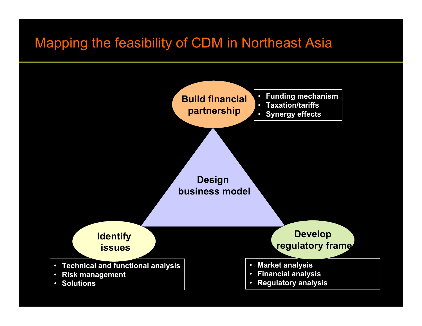#### Mapping the feasibility of CDM in Northeast Asia

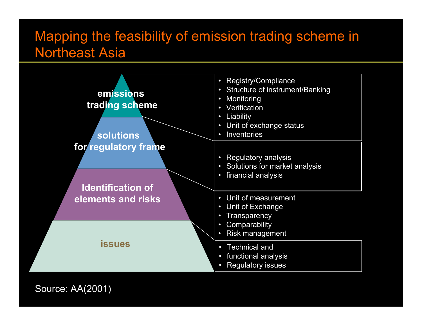#### Mapping the feasibility of emission trading scheme in Northeast Asia



Source: AA(2001)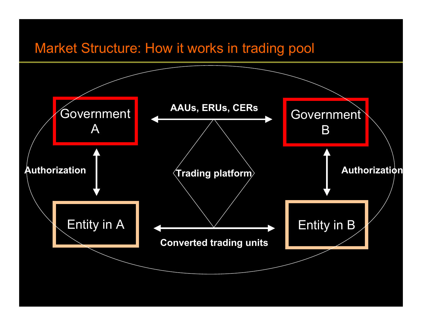#### Market Structure: How it works in trading pool

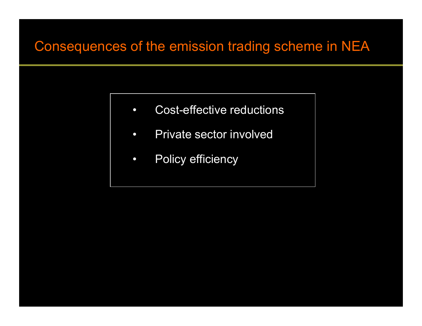#### Consequences of the emission trading scheme in NEA

- $\bullet$ Cost-effective reductions
- $\bullet$ Private sector involved
- $\bullet$ Policy efficiency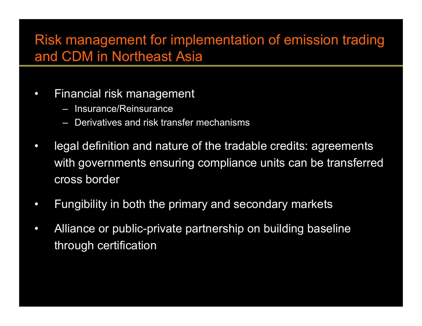## Risk management for implementation of emission trading and CDM in Northeast Asia

- •Financial risk management
	- Insurance/Reinsurance
	- –Derivatives and risk transfer mechanisms
- • legal definition and nature of the tradable credits: agreements with governments ensuring compliance units can be transferred cross border
- •Fungibility in both the primary and secondary markets
- $\bullet$ Alliance or public-private partnership on building baseline through certification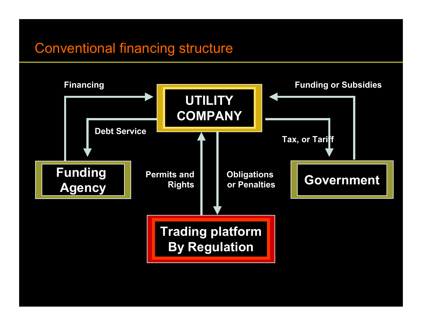### Conventional financing structure

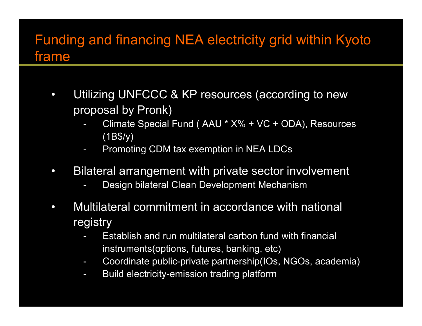#### Funding and financing NEA electricity grid within Kyoto frame

- $\bullet$ Utilizing UNFCCC & KP resources (according to new proposal by Pronk)
	- - Climate Special Fund ( AAU \* X% + VC + ODA), Resources (1B\$/y)
	- Promoting CDM tax exemption in NEA LDCs
- $\bullet$ Bilateral arrangement with private sector involvement
	- -Design bilateral Clean Development Mechanism
- $\bullet$ Multilateral commitment in accordance with national registry
	- -Establish and run multilateral carbon fund with financial instruments(options, futures, banking, etc)
	- -Coordinate public-private partnership(IOs, NGOs, academia)
	- -Build electricity-emission trading platform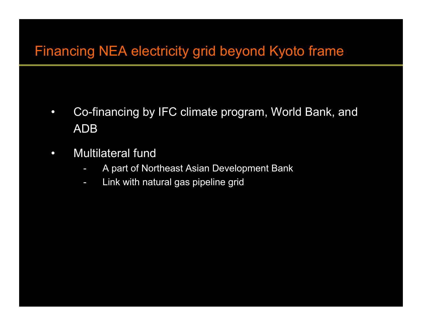## Financing NEA electricity grid beyond Kyoto frame

- $\bullet$ Co-financing by IFC climate program, World Bank, and ADB
- $\bullet$ Multilateral fund
	- -A part of Northeast Asian Development Bank
	- -Link with natural gas pipeline grid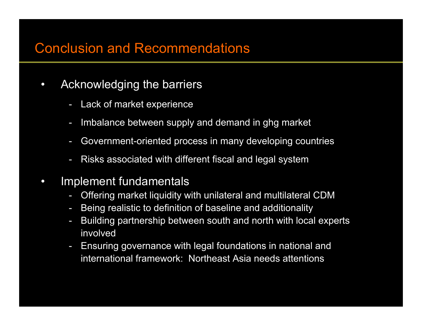#### Conclusion and Recommendations

- •Acknowledging the barriers
	- -Lack of market experience
	- -Imbalance between supply and demand in ghg market
	- -Government-oriented process in many developing countries
	- -Risks associated with different fiscal and legal system
- $\bullet$  Implement fundamentals
	- Offering market liquidity with unilateral and multilateral CDM
	- -Being realistic to definition of baseline and additionality
	- -Building partnership between south and north with local experts involved
	- Ensuring governance with legal foundations in national and international framework: Northeast Asia needs attentions